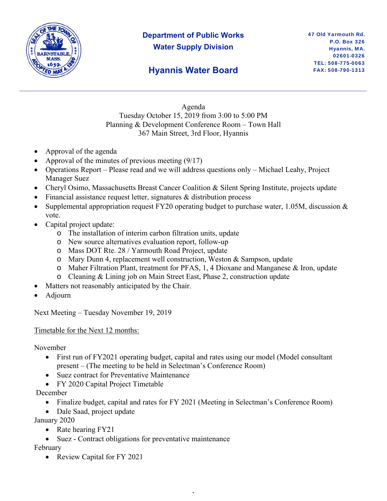

# **Department of Public Works Water Supply Division**

### **Hyannis Water Board**

Agenda Tuesday October 15, 2019 from 3:00 to 5:00 PM Planning & Development Conference Room – Town Hall 367 Main Street, 3rd Floor, Hyannis

- Approval of the agenda
- Approval of the minutes of previous meeting (9/17)
- Operations Report Please read and we will address questions only Michael Leahy, Project Manager Suez
- Cheryl Osimo, Massachusetts Breast Cancer Coalition & Silent Spring Institute, projects update
- Financial assistance request letter, signatures & distribution process
- Supplemental appropriation request FY20 operating budget to purchase water, 1.05M, discussion & vote.
- Capital project update:
	- o The installation of interim carbon filtration units, update
	- o New source alternatives evaluation report, follow-up
	- o Mass DOT Rte. 28 / Yarmouth Road Project, update
	- o Mary Dunn 4, replacement well construction, Weston & Sampson, update
	- o Maher Filtration Plant, treatment for PFAS, 1, 4 Dioxane and Manganese & Iron, update
	- o Cleaning & Lining job on Main Street East, Phase 2, construction update
- Matters not reasonably anticipated by the Chair.
- Adjourn

Next Meeting – Tuesday November 19, 2019

Timetable for the Next 12 months:

November

- First run of FY2021 operating budget, capital and rates using our model (Model consultant present – (The meeting to be held in Selectman's Conference Room)
- Suez contract for Preventative Maintenance
- FY 2020 Capital Project Timetable

December

• Finalize budget, capital and rates for FY 2021 (Meeting in Selectman's Conference Room)

,

• Dale Saad, project update

January 2020

- Rate hearing FY21
- Suez Contract obligations for preventative maintenance

February

• Review Capital for FY 2021